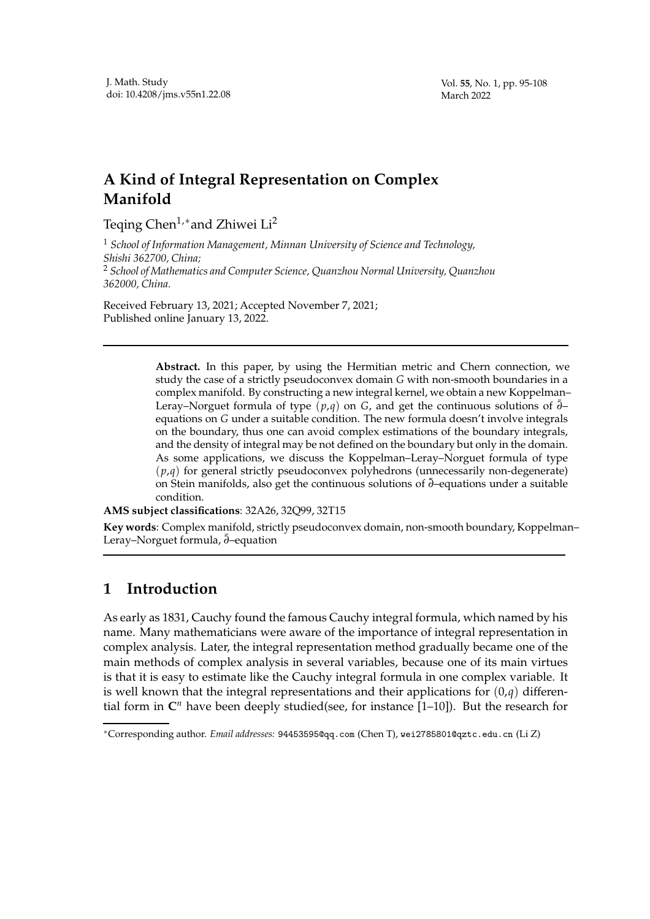## **A Kind of Integral Representation on Complex Manifold**

Teqing Chen<sup>1,\*</sup> and Zhiwei Li<sup>2</sup>

<sup>1</sup> *School of Information Management, Minnan University of Science and Technology, Shishi 362700, China;* <sup>2</sup> *School of Mathematics and Computer Science, Quanzhou Normal University, Quanzhou 362000, China.*

Received February 13, 2021; Accepted November 7, 2021; Published online January 13, 2022.

> **Abstract.** In this paper, by using the Hermitian metric and Chern connection, we study the case of a strictly pseudoconvex domain *G* with non-smooth boundaries in a complex manifold. By constructing a new integral kernel, we obtain a new Koppelman– Leray–Norguet formula of type (*p*,*q*) on *G*, and get the continuous solutions of ¯*∂*– equations on *G* under a suitable condition. The new formula doesn't involve integrals on the boundary, thus one can avoid complex estimations of the boundary integrals, and the density of integral may be not defined on the boundary but only in the domain. As some applications, we discuss the Koppelman–Leray–Norguet formula of type  $(p,q)$  for general strictly pseudoconvex polyhedrons (unnecessarily non-degenerate) on Stein manifolds, also get the continuous solutions of ¯*∂*–equations under a suitable condition.

**AMS subject classifications**: 32A26, 32Q99, 32T15

**Key words**: Complex manifold, strictly pseudoconvex domain, non-smooth boundary, Koppelman– Leray–Norguet formula,  $\bar{\partial}$ –equation

## **1 Introduction**

As early as 1831, Cauchy found the famous Cauchy integral formula, which named by his name. Many mathematicians were aware of the importance of integral representation in complex analysis. Later, the integral representation method gradually became one of the main methods of complex analysis in several variables, because one of its main virtues is that it is easy to estimate like the Cauchy integral formula in one complex variable. It is well known that the integral representations and their applications for  $(0,q)$  differential form in  $\mathbb{C}^n$  have been deeply studied(see, for instance [1-10]). But the research for

<sup>∗</sup>Corresponding author. *Email addresses:* 94453595@qq.com (Chen T), wei2785801@qztc.edu.cn (Li Z)